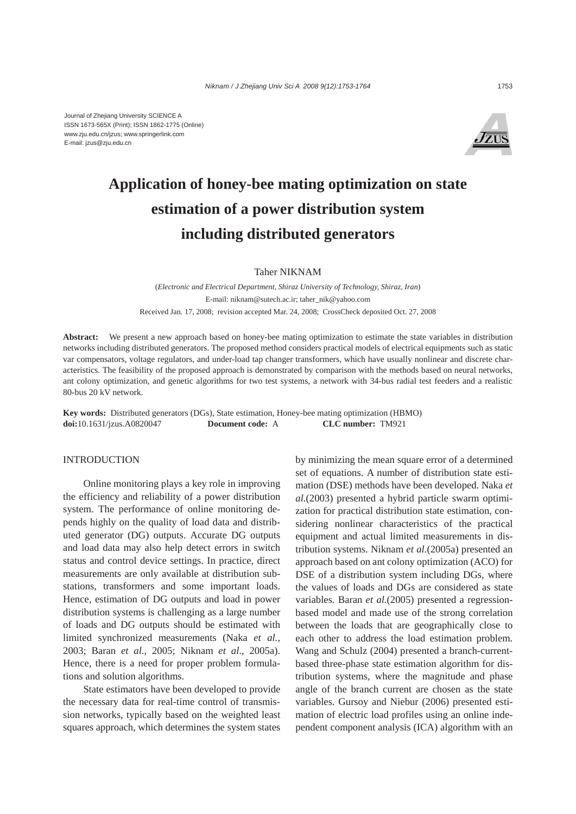

# **Application of honey-bee mating optimization on state estimation of a power distribution system including distributed generators**

Taher NIKNAM

(*Electronic and Electrical Department, Shiraz University of Technology, Shiraz, Iran*) E-mail: niknam@sutech.ac.ir; taher\_nik@yahoo.com Received Jan. 17, 2008; revision accepted Mar. 24, 2008; CrossCheck deposited Oct. 27, 2008

**Abstract:** We present a new approach based on honey-bee mating optimization to estimate the state variables in distribution networks including distributed generators. The proposed method considers practical models of electrical equipments such as static var compensators, voltage regulators, and under-load tap changer transformers, which have usually nonlinear and discrete characteristics. The feasibility of the proposed approach is demonstrated by comparison with the methods based on neural networks, ant colony optimization, and genetic algorithms for two test systems, a network with 34-bus radial test feeders and a realistic 80-bus 20 kV network.

**Key words:** Distributed generators (DGs), State estimation, Honey-bee mating optimization (HBMO) **doi:**10.1631/jzus.A0820047 **Document code:** A **CLC number:** TM921

## INTRODUCTION

Online monitoring plays a key role in improving the efficiency and reliability of a power distribution system. The performance of online monitoring depends highly on the quality of load data and distributed generator (DG) outputs. Accurate DG outputs and load data may also help detect errors in switch status and control device settings. In practice, direct measurements are only available at distribution substations, transformers and some important loads. Hence, estimation of DG outputs and load in power distribution systems is challenging as a large number of loads and DG outputs should be estimated with limited synchronized measurements (Naka *et al.*, 2003; Baran *et al.*, 2005; Niknam *et al*., 2005a). Hence, there is a need for proper problem formulations and solution algorithms.

State estimators have been developed to provide the necessary data for real-time control of transmission networks, typically based on the weighted least squares approach, which determines the system states

by minimizing the mean square error of a determined set of equations. A number of distribution state estimation (DSE) methods have been developed. Naka *et al.*(2003) presented a hybrid particle swarm optimization for practical distribution state estimation, considering nonlinear characteristics of the practical equipment and actual limited measurements in distribution systems. Niknam *et al.*(2005a) presented an approach based on ant colony optimization (ACO) for DSE of a distribution system including DGs, where the values of loads and DGs are considered as state variables. Baran *et al.*(2005) presented a regressionbased model and made use of the strong correlation between the loads that are geographically close to each other to address the load estimation problem. Wang and Schulz (2004) presented a branch-currentbased three-phase state estimation algorithm for distribution systems, where the magnitude and phase angle of the branch current are chosen as the state variables. Gursoy and Niebur (2006) presented estimation of electric load profiles using an online independent component analysis (ICA) algorithm with an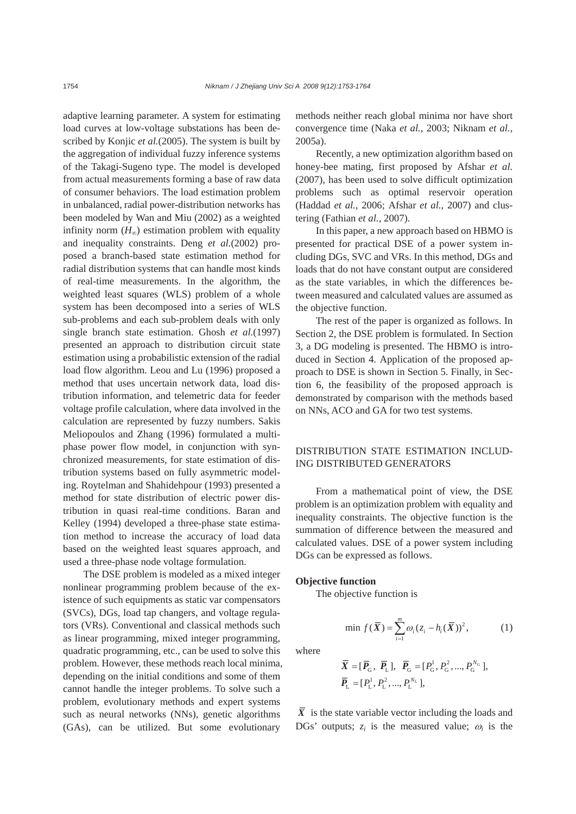adaptive learning parameter. A system for estimating load curves at low-voltage substations has been described by Konjic *et al.*(2005). The system is built by the aggregation of individual fuzzy inference systems of the Takagi-Sugeno type. The model is developed from actual measurements forming a base of raw data of consumer behaviors. The load estimation problem in unbalanced, radial power-distribution networks has been modeled by Wan and Miu (2002) as a weighted infinity norm  $(H_{\infty})$  estimation problem with equality and inequality constraints. Deng *et al.*(2002) proposed a branch-based state estimation method for radial distribution systems that can handle most kinds of real-time measurements. In the algorithm, the weighted least squares (WLS) problem of a whole system has been decomposed into a series of WLS sub-problems and each sub-problem deals with only single branch state estimation. Ghosh *et al.*(1997) presented an approach to distribution circuit state estimation using a probabilistic extension of the radial load flow algorithm. Leou and Lu (1996) proposed a method that uses uncertain network data, load distribution information, and telemetric data for feeder voltage profile calculation, where data involved in the calculation are represented by fuzzy numbers. Sakis Meliopoulos and Zhang (1996) formulated a multiphase power flow model, in conjunction with synchronized measurements, for state estimation of distribution systems based on fully asymmetric modeling. Roytelman and Shahidehpour (1993) presented a method for state distribution of electric power distribution in quasi real-time conditions. Baran and Kelley (1994) developed a three-phase state estimation method to increase the accuracy of load data based on the weighted least squares approach, and used a three-phase node voltage formulation.

The DSE problem is modeled as a mixed integer nonlinear programming problem because of the existence of such equipments as static var compensators (SVCs), DGs, load tap changers, and voltage regulators (VRs). Conventional and classical methods such as linear programming, mixed integer programming, quadratic programming, etc., can be used to solve this problem. However, these methods reach local minima, depending on the initial conditions and some of them cannot handle the integer problems. To solve such a problem, evolutionary methods and expert systems such as neural networks (NNs), genetic algorithms (GAs), can be utilized. But some evolutionary

methods neither reach global minima nor have short convergence time (Naka *et al.*, 2003; Niknam *et al.*, 2005a).

Recently, a new optimization algorithm based on honey-bee mating, first proposed by Afshar *et al.*  (2007), has been used to solve difficult optimization problems such as optimal reservoir operation (Haddad *et al.*, 2006; Afshar *et al.*, 2007) and clustering (Fathian *et al.*, 2007).

In this paper, a new approach based on HBMO is presented for practical DSE of a power system including DGs, SVC and VRs. In this method, DGs and loads that do not have constant output are considered as the state variables, in which the differences between measured and calculated values are assumed as the objective function.

The rest of the paper is organized as follows. In Section 2, the DSE problem is formulated. In Section 3, a DG modeling is presented. The HBMO is introduced in Section 4. Application of the proposed approach to DSE is shown in Section 5. Finally, in Section 6, the feasibility of the proposed approach is demonstrated by comparison with the methods based on NNs, ACO and GA for two test systems.

## DISTRIBUTION STATE ESTIMATION INCLUD-ING DISTRIBUTED GENERATORS

From a mathematical point of view, the DSE problem is an optimization problem with equality and inequality constraints. The objective function is the summation of difference between the measured and calculated values. DSE of a power system including DGs can be expressed as follows.

#### **Objective function**

The objective function is

$$
\min f(\bar{X}) = \sum_{i=1}^{m} \omega_i (z_i - h_i(\bar{X}))^2, \quad (1)
$$

where

$$
\overline{X} = [\overline{P}_{G}, \overline{P}_{L}], \overline{P}_{G} = [P_{G}^{1}, P_{G}^{2}, ..., P_{G}^{N_{G}}],
$$
  

$$
\overline{P}_{L} = [P_{L}^{1}, P_{L}^{2}, ..., P_{L}^{N_{L}}],
$$

 $\overline{X}$  is the state variable vector including the loads and DGs' outputs;  $z_i$  is the measured value;  $\omega_i$  is the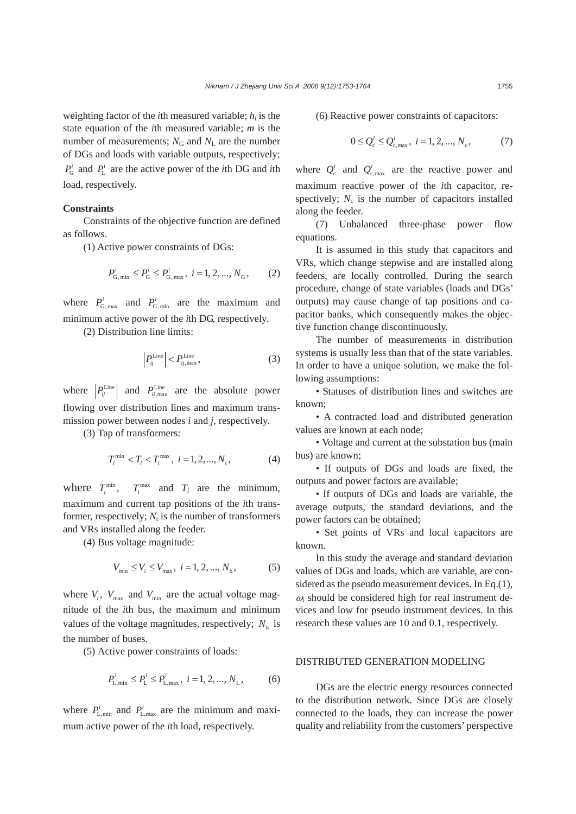weighting factor of the *i*th measured variable;  $h_i$  is the state equation of the *i*th measured variable; *m* is the number of measurements;  $N<sub>G</sub>$  and  $N<sub>L</sub>$  are the number of DGs and loads with variable outputs, respectively;

 $P_{\rm G}^i$  and  $P_{\rm L}^i$  are the active power of the *i*th DG and *i*th load, respectively.

#### **Constraints**

Constraints of the objective function are defined as follows.

(1) Active power constraints of DGs:

$$
P_{\rm G,min}^i \le P_{\rm G}^i \le P_{\rm G,max}^i, \ i = 1, 2, ..., N_{\rm G}, \ (2)
$$

where  $P_{\text{G, max}}^i$  and  $P_{\text{G, min}}^i$  are the maximum and minimum active power of the *i*th DG, respectively.

(2) Distribution line limits:

$$
\left| P_{ij}^{\text{Line}} \right| < P_{ij,\text{max}}^{\text{Line}},\tag{3}
$$

where  $\left| P_{ij}^{\text{Line}} \right|$  and  $P_{ij,\text{max}}^{\text{Line}}$  are the absolute power flowing over distribution lines and maximum transmission power between nodes *i* and *j*, respectively.

(3) Tap of transformers:

$$
T_i^{\min} < T_i < T_i^{\max}, \ i = 1, 2, \dots, N_t,\tag{4}
$$

where  $T_i^{\min}$ ,  $T_i^{\max}$  and  $T_i$  are the minimum, maximum and current tap positions of the *i*th transformer, respectively;  $N_t$  is the number of transformers and VRs installed along the feeder.

(4) Bus voltage magnitude:

$$
V_{\min} \le V_i \le V_{\max}, \ i = 1, 2, ..., N_{\text{b}}, \tag{5}
$$

where  $V_i$ ,  $V_{\text{max}}$  and  $V_{\text{min}}$  are the actual voltage magnitude of the *i*th bus, the maximum and minimum values of the voltage magnitudes, respectively;  $N<sub>b</sub>$  is the number of buses.

(5) Active power constraints of loads:

$$
P_{\text{L,min}}^{i} \le P_{\text{L}}^{i} \le P_{\text{L,max}}^{i}, \ i = 1, 2, ..., N_{\text{L}}, \tag{6}
$$

where  $P_{\text{L,min}}^i$  and  $P_{\text{L,max}}^i$  are the minimum and maximum active power of the *i*th load, respectively.

(6) Reactive power constraints of capacitors:

$$
0 \le Q_{\rm c}^i \le Q_{\rm c,max}^i, \ i = 1, 2, ..., N_{\rm c}, \tag{7}
$$

where  $Q_c^i$  and  $Q_{c,\text{max}}^i$  are the reactive power and maximum reactive power of the *i*th capacitor, respectively;  $N_c$  is the number of capacitors installed along the feeder.

(7) Unbalanced three-phase power flow equations.

It is assumed in this study that capacitors and VRs, which change stepwise and are installed along feeders, are locally controlled. During the search procedure, change of state variables (loads and DGs' outputs) may cause change of tap positions and capacitor banks, which consequently makes the objective function change discontinuously.

The number of measurements in distribution systems is usually less than that of the state variables. In order to have a unique solution, we make the following assumptions:

• Statuses of distribution lines and switches are known;

• A contracted load and distributed generation values are known at each node;

• Voltage and current at the substation bus (main bus) are known;

• If outputs of DGs and loads are fixed, the outputs and power factors are available;

• If outputs of DGs and loads are variable, the average outputs, the standard deviations, and the power factors can be obtained;

• Set points of VRs and local capacitors are known.

In this study the average and standard deviation values of DGs and loads, which are variable, are considered as the pseudo measurement devices. In Eq.(1),  $\omega_i$  should be considered high for real instrument devices and low for pseudo instrument devices. In this research these values are 10 and 0.1, respectively.

### DISTRIBUTED GENERATION MODELING

DGs are the electric energy resources connected to the distribution network. Since DGs are closely connected to the loads, they can increase the power quality and reliability from the customers' perspective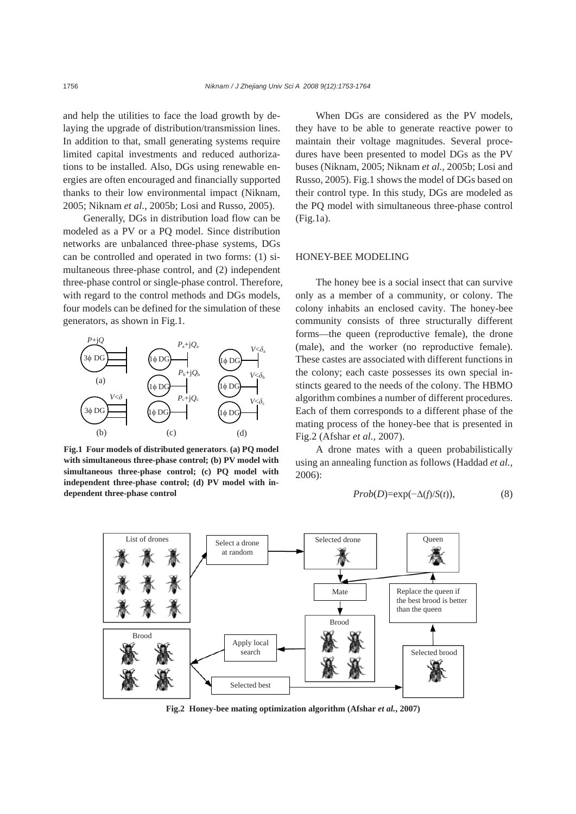and help the utilities to face the load growth by delaying the upgrade of distribution/transmission lines. In addition to that, small generating systems require limited capital investments and reduced authorizations to be installed. Also, DGs using renewable energies are often encouraged and financially supported thanks to their low environmental impact (Niknam, 2005; Niknam *et al.*, 2005b; Losi and Russo, 2005).

Generally, DGs in distribution load flow can be modeled as a PV or a PQ model. Since distribution networks are unbalanced three-phase systems, DGs can be controlled and operated in two forms: (1) simultaneous three-phase control, and (2) independent three-phase control or single-phase control. Therefore, with regard to the control methods and DGs models, four models can be defined for the simulation of these generators, as shown in Fig.1.



**Fig.1 Four models of distributed generators**. **(a) PQ model with simultaneous three-phase control; (b) PV model with simultaneous three-phase control; (c) PQ model with independent three-phase control; (d) PV model with independent three-phase control** 

When DGs are considered as the PV models, they have to be able to generate reactive power to maintain their voltage magnitudes. Several procedures have been presented to model DGs as the PV buses (Niknam, 2005; Niknam *et al.*, 2005b; Losi and Russo, 2005). Fig.1 shows the model of DGs based on their control type. In this study, DGs are modeled as the PQ model with simultaneous three-phase control (Fig.1a).

#### HONEY-BEE MODELING

The honey bee is a social insect that can survive only as a member of a community, or colony. The colony inhabits an enclosed cavity. The honey-bee community consists of three structurally different forms—the queen (reproductive female), the drone (male), and the worker (no reproductive female). These castes are associated with different functions in the colony; each caste possesses its own special instincts geared to the needs of the colony. The HBMO algorithm combines a number of different procedures. Each of them corresponds to a different phase of the mating process of the honey-bee that is presented in Fig.2 (Afshar *et al.*, 2007).

A drone mates with a queen probabilistically using an annealing function as follows (Haddad *et al.*, 2006):

$$
Prob(D)=exp(-\Delta(f)/S(t)), \qquad (8)
$$



**Fig.2 Honey-bee mating optimization algorithm (Afshar** *et al.***, 2007)**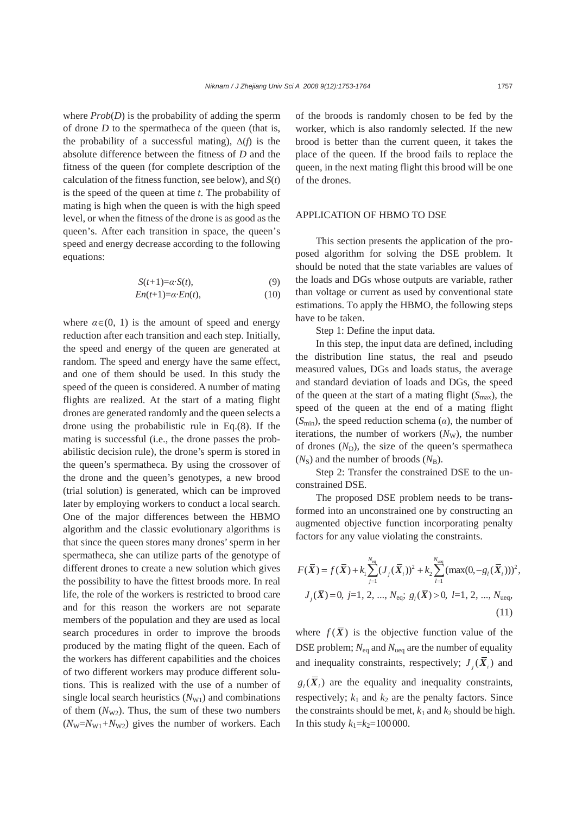where  $Prob(D)$  is the probability of adding the sperm of drone *D* to the spermatheca of the queen (that is, the probability of a successful mating),  $\Delta(f)$  is the absolute difference between the fitness of *D* and the fitness of the queen (for complete description of the calculation of the fitness function, see below), and *S*(*t*) is the speed of the queen at time *t*. The probability of mating is high when the queen is with the high speed level, or when the fitness of the drone is as good as the queen's. After each transition in space, the queen's speed and energy decrease according to the following

equations:

$$
S(t+1)=\alpha \cdot S(t),\tag{9}
$$

$$
En(t+1)=\alpha \cdot En(t), \qquad (10)
$$

where  $\alpha \in (0, 1)$  is the amount of speed and energy reduction after each transition and each step. Initially, the speed and energy of the queen are generated at random. The speed and energy have the same effect, and one of them should be used. In this study the speed of the queen is considered. A number of mating flights are realized. At the start of a mating flight drones are generated randomly and the queen selects a drone using the probabilistic rule in Eq.(8). If the mating is successful (i.e., the drone passes the probabilistic decision rule), the drone's sperm is stored in the queen's spermatheca. By using the crossover of the drone and the queen's genotypes, a new brood (trial solution) is generated, which can be improved later by employing workers to conduct a local search. One of the major differences between the HBMO algorithm and the classic evolutionary algorithms is that since the queen stores many drones' sperm in her spermatheca, she can utilize parts of the genotype of different drones to create a new solution which gives the possibility to have the fittest broods more. In real life, the role of the workers is restricted to brood care and for this reason the workers are not separate members of the population and they are used as local search procedures in order to improve the broods produced by the mating flight of the queen. Each of the workers has different capabilities and the choices of two different workers may produce different solutions. This is realized with the use of a number of single local search heuristics  $(N_{W1})$  and combinations of them  $(N_{\text{W2}})$ . Thus, the sum of these two numbers  $(N_W=N_{W1}+N_{W2})$  gives the number of workers. Each

of the broods is randomly chosen to be fed by the worker, which is also randomly selected. If the new brood is better than the current queen, it takes the place of the queen. If the brood fails to replace the queen, in the next mating flight this brood will be one of the drones.

## APPLICATION OF HBMO TO DSE

This section presents the application of the proposed algorithm for solving the DSE problem. It should be noted that the state variables are values of the loads and DGs whose outputs are variable, rather than voltage or current as used by conventional state estimations. To apply the HBMO, the following steps have to be taken.

Step 1: Define the input data.

In this step, the input data are defined, including the distribution line status, the real and pseudo measured values, DGs and loads status, the average and standard deviation of loads and DGs, the speed of the queen at the start of a mating flight  $(S_{\text{max}})$ , the speed of the queen at the end of a mating flight  $(S_{\text{min}})$ , the speed reduction schema ( $\alpha$ ), the number of iterations, the number of workers  $(N_{W})$ , the number of drones  $(N_D)$ , the size of the queen's spermatheca  $(N<sub>S</sub>)$  and the number of broods  $(N<sub>B</sub>)$ .

Step 2: Transfer the constrained DSE to the unconstrained DSE.

The proposed DSE problem needs to be transformed into an unconstrained one by constructing an augmented objective function incorporating penalty factors for any value violating the constraints.

$$
F(\overline{X}) = f(\overline{X}) + k_1 \sum_{j=1}^{N_{\text{eq}}} (J_j(\overline{X}_i))^2 + k_2 \sum_{l=1}^{N_{\text{neg}}} (\max(0, -g_l(\overline{X}_i)))^2,
$$
  

$$
J_j(\overline{X}) = 0, j = 1, 2, ..., N_{\text{eq}}; g_l(\overline{X}) > 0, l = 1, 2, ..., N_{\text{ueq}},
$$
  
(11)

where  $f(\bar{X})$  is the objective function value of the DSE problem; *N*eq and *N*ueq are the number of equality and inequality constraints, respectively;  $J_i(\bar{X}_i)$  and  $g_i(\overline{X}_i)$  are the equality and inequality constraints, respectively;  $k_1$  and  $k_2$  are the penalty factors. Since the constraints should be met,  $k_1$  and  $k_2$  should be high. In this study  $k_1 = k_2 = 100000$ .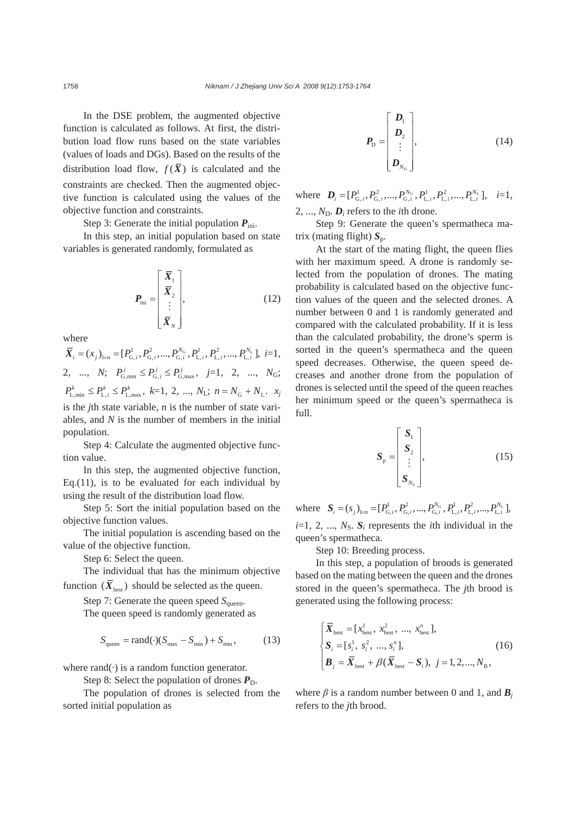In the DSE problem, the augmented objective function is calculated as follows. At first, the distribution load flow runs based on the state variables (values of loads and DGs). Based on the results of the distribution load flow,  $f(\bar{X})$  is calculated and the constraints are checked. Then the augmented objective function is calculated using the values of the objective function and constraints.

Step 3: Generate the initial population  $P_{\text{ini}}$ .

In this step, an initial population based on state variables is generated randomly, formulated as

$$
\boldsymbol{P}_{\text{ini}} = \begin{bmatrix} \overline{\boldsymbol{X}}_1 \\ \overline{\boldsymbol{X}}_2 \\ \vdots \\ \overline{\boldsymbol{X}}_N \end{bmatrix},
$$
(12)

where

 $\overline{X}_i = (x_i)_{1 \times n} = [P_{\text{G}, i}^1, P_{\text{G}, i}^2, ..., P_{\text{G}, i}^{N_{\text{G}}}, P_{\text{L}, i}^1, P_{\text{L}, i}^2, ..., P_{\text{L}, i}^{N_{\text{L}}}]$ , *i*=1, 2, ..., *N*;  $P_{G,\text{min}}^j \leq P_{G,i}^j \leq P_{G,\text{max}}^j, j=1, 2, ..., N_G;$  $P_{\text{L,min}}^k \leq P_{\text{L},i}^k \leq P_{\text{L,max}}^k$ ,  $k=1, 2, ..., N_{\text{L}}; n=N_{\text{G}}+N_{\text{L}}.$   $x_j$ is the *i*th state variable,  $n$  is the number of state variables, and *N* is the number of members in the initial population.

Step 4: Calculate the augmented objective function value.

In this step, the augmented objective function, Eq.(11), is to be evaluated for each individual by using the result of the distribution load flow.

Step 5: Sort the initial population based on the objective function values.

The initial population is ascending based on the value of the objective function.

Step 6: Select the queen.

The individual that has the minimum objective function  $(\overline{X}_{\text{best}})$  should be selected as the queen.

Step 7: Generate the queen speed  $S_{\text{queen}}$ .

The queen speed is randomly generated as

$$
S_{\text{queen}} = \text{rand}(\cdot)(S_{\text{max}} - S_{\text{min}}) + S_{\text{min}},\tag{13}
$$

where rand( $\cdot$ ) is a random function generator.

Step 8: Select the population of drones  $P_D$ .

The population of drones is selected from the sorted initial population as

$$
P_{\rm D} = \begin{bmatrix} D_1 \\ D_2 \\ \vdots \\ D_{N_{\rm D}} \end{bmatrix}, \tag{14}
$$

where  $\boldsymbol{D}_i = [P_{\text{G},i}^1, P_{\text{G},i}^2, ..., P_{\text{G},i}^{N_{\text{G}}}, P_{\text{L},i}^1, P_{\text{L},i}^2, ..., P_{\text{L},i}^{N_{\text{L}}}], \quad i=1,$ 2, ...,  $N_D$ .  $\boldsymbol{D}_i$  refers to the *i*th drone.

Step 9: Generate the queen's spermatheca matrix (mating flight) *S*p.

At the start of the mating flight, the queen flies with her maximum speed. A drone is randomly selected from the population of drones. The mating probability is calculated based on the objective function values of the queen and the selected drones. A number between 0 and 1 is randomly generated and compared with the calculated probability. If it is less than the calculated probability, the drone's sperm is sorted in the queen's spermatheca and the queen speed decreases. Otherwise, the queen speed decreases and another drone from the population of drones is selected until the speed of the queen reaches her minimum speed or the queen's spermatheca is full.

$$
S_p = \begin{bmatrix} S_1 \\ S_2 \\ \vdots \\ S_{N_s} \end{bmatrix},
$$
 (15)

where  $S_i = (s_j)_{1 \times n} = [P_{G_i}^1, P_{G_i}^2, ..., P_{G_i}^{N_G}, P_{L_i}^1, P_{L_i}^2, ..., P_{L_i}^{N_L}]$  $i=1, 2, ..., N_S$ .  $S_i$  represents the *i*th individual in the queen's spermatheca.

Step 10: Breeding process.

In this step, a population of broods is generated based on the mating between the queen and the drones stored in the queen's spermatheca. The *j*th brood is generated using the following process:

$$
\begin{cases}\n\overline{X}_{\text{best}} = [x_{\text{best}}^1, x_{\text{best}}^2, ..., x_{\text{best}}^n], \\
S_i = [s_i^1, s_i^2, ..., s_i^n], \\
B_j = \overline{X}_{\text{best}} + \beta(\overline{X}_{\text{best}} - S_i), j = 1, 2, ..., N_B,\n\end{cases}
$$
\n(16)

where  $\beta$  is a random number between 0 and 1, and  $\boldsymbol{B}_i$ refers to the *j*th brood.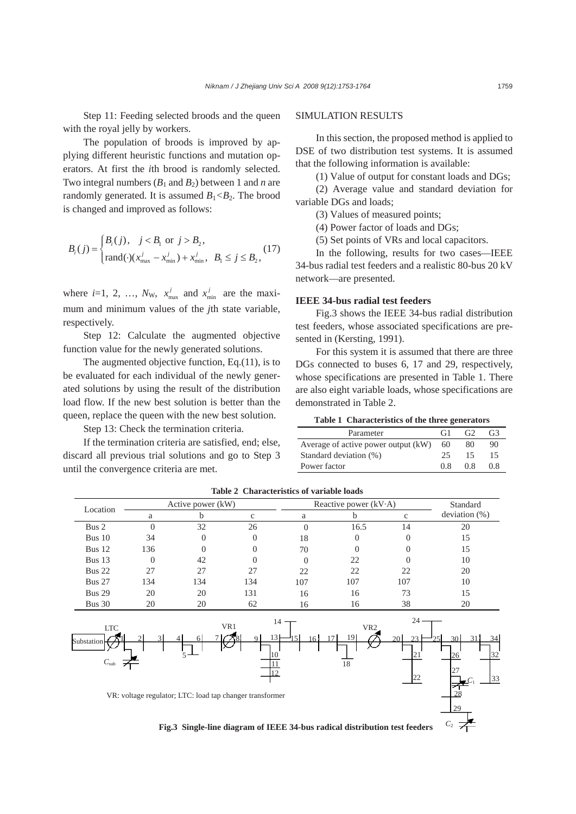Step 11: Feeding selected broods and the queen with the royal jelly by workers.

The population of broods is improved by applying different heuristic functions and mutation operators. At first the *i*th brood is randomly selected. Two integral numbers  $(B_1 \text{ and } B_2)$  between 1 and *n* are randomly generated. It is assumed  $B_1 < B_2$ . The brood is changed and improved as follows:

$$
B_i(j) = \begin{cases} B_i(j), & j < B_1 \text{ or } j > B_2, \\ \text{rand}(\cdot)(x_{\text{max}}^j - x_{\text{min}}^j) + x_{\text{min}}^j, & B_1 \le j \le B_2, \end{cases}
$$
(17)

where *i*=1, 2, ...,  $N_{\text{W}}$ ,  $x_{\text{max}}^j$  and  $x_{\text{min}}^j$  are the maximum and minimum values of the *j*th state variable, respectively.

Step 12: Calculate the augmented objective function value for the newly generated solutions.

The augmented objective function, Eq.(11), is to be evaluated for each individual of the newly generated solutions by using the result of the distribution load flow. If the new best solution is better than the queen, replace the queen with the new best solution.

Step 13: Check the termination criteria.

If the termination criteria are satisfied, end; else, discard all previous trial solutions and go to Step 3 until the convergence criteria are met.

## SIMULATION RESULTS

In this section, the proposed method is applied to DSE of two distribution test systems. It is assumed that the following information is available:

(1) Value of output for constant loads and DGs;

(2) Average value and standard deviation for variable DGs and loads;

(3) Values of measured points;

(4) Power factor of loads and DGs;

(5) Set points of VRs and local capacitors.

In the following, results for two cases—IEEE 34-bus radial test feeders and a realistic 80-bus 20 kV network—are presented.

#### **IEEE 34-bus radial test feeders**

Fig.3 shows the IEEE 34-bus radial distribution test feeders, whose associated specifications are presented in (Kersting, 1991).

For this system it is assumed that there are three DGs connected to buses 6, 17 and 29, respectively, whose specifications are presented in Table 1. There are also eight variable loads, whose specifications are demonstrated in Table 2.

**Table 1 Characteristics of the three generators** 

| Parameter                           | GH  | G <sub>2</sub> | 63 |
|-------------------------------------|-----|----------------|----|
| Average of active power output (kW) | 60  | 80             | 90 |
| Standard deviation (%)              | 25. | 15             | 15 |
| Power factor                        | 0.8 | 08             | 08 |

|          |          |                |                   |                                                                      | Standard                   |                                                            |
|----------|----------|----------------|-------------------|----------------------------------------------------------------------|----------------------------|------------------------------------------------------------|
| a        | b        | $\mathbf c$    | a                 | b                                                                    | $\mathbf c$                | deviation $(\%)$                                           |
| $\theta$ | 32       | 26             | $\Omega$          | 16.5                                                                 | 14                         | 20                                                         |
| 34       | $\Omega$ | $\theta$       | 18                | $\overline{0}$                                                       | $\overline{0}$             | 15                                                         |
| 136      | $\Omega$ | $\overline{0}$ | 70                | $\Omega$                                                             | $\overline{0}$             | 15                                                         |
| $\theta$ | 42       | $\theta$       | $\Omega$          | 22                                                                   | $\Omega$                   | 10                                                         |
| 27       | 27       | 27             | 22                | 22                                                                   | 22                         | 20                                                         |
| 134      | 134      | 134            | 107               | 107                                                                  | 107                        | 10                                                         |
| 20       | 20       | 131            | 16                | 16                                                                   | 73                         | 15                                                         |
| 20       | 20       | 62             | 16                | 16                                                                   | 38                         | 20                                                         |
|          |          | VR1<br>Q.      | 16                | VR <sub>2</sub><br>19<br>18                                          | 24<br>20<br>23<br>21<br>22 | 30<br>34 <sub>1</sub><br>32<br><b>26</b><br>27<br>33<br>29 |
|          |          |                | Active power (kW) | 14<br>13<br>VR: voltage regulator; LTC: load tap changer transformer |                            | Reactive power $(kV·A)$                                    |

**Table 2 Characteristics of variable loads** 

*<sup>C</sup>*<sup>2</sup> **Fig.3 Single-line diagram of IEEE 34-bus radical distribution test feeders**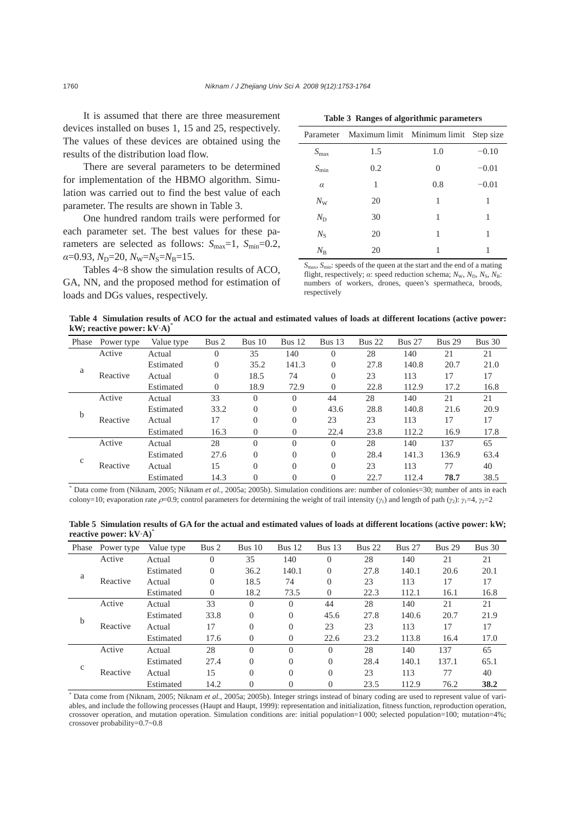It is assumed that there are three measurement devices installed on buses 1, 15 and 25, respectively. The values of these devices are obtained using the results of the distribution load flow.

There are several parameters to be determined for implementation of the HBMO algorithm. Simulation was carried out to find the best value of each parameter. The results are shown in Table 3.

One hundred random trails were performed for each parameter set. The best values for these parameters are selected as follows:  $S_{\text{max}}=1$ ,  $S_{\text{min}}=0.2$ ,  $\alpha$ =0.93,  $N_{\rm D}$ =20,  $N_{\rm W}$ = $N_{\rm S}$ = $N_{\rm B}$ =15.

Tables 4~8 show the simulation results of ACO, GA, NN, and the proposed method for estimation of loads and DGs values, respectively.

|                  | Parameter Maximum limit Minimum limit Step size |                |         |
|------------------|-------------------------------------------------|----------------|---------|
| $S_{\text{max}}$ | 1.5                                             | 1.0            | $-0.10$ |
| $S_{\min}$       | 0.2                                             | $\overline{0}$ | $-0.01$ |
| $\alpha$         | 1                                               | 0.8            | $-0.01$ |
| $N_{\rm W}$      | 20                                              | 1              | 1       |
| $N_{\rm D}$      | 30                                              | 1              | 1       |
| $N_{\rm S}$      | 20                                              | 1              | 1       |
| $N_{\rm B}$      | 20                                              | 1              | 1       |

**Table 3 Ranges of algorithmic parameters** 

*S*max, *S*min: speeds of the queen at the start and the end of a mating flight, respectively;  $\alpha$ : speed reduction schema;  $N_{\rm W}$ ,  $N_{\rm D}$ ,  $N_{\rm S}$ ,  $N_{\rm B}$ . numbers of workers, drones, queen's spermatheca, broods, respectively

**Table 4 Simulation results of ACO for the actual and estimated values of loads at different locations (active power: kW; reactive power: kV**·**A)**\*

|              | Phase Power type | Value type | Bus 2    | Bus $10$ | Bus $12$ | <b>Bus 13</b> | <b>Bus 22</b> | <b>Bus 27</b> | <b>Bus 29</b> | Bus $30$ |
|--------------|------------------|------------|----------|----------|----------|---------------|---------------|---------------|---------------|----------|
|              | Active           | Actual     | $\Omega$ | 35       | 140      | $\Omega$      | 28            | 140           | 21            | 21       |
|              |                  | Estimated  | $\Omega$ | 35.2     | 141.3    | $\Omega$      | 27.8          | 140.8         | 20.7          | 21.0     |
| a            | Reactive         | Actual     | 0        | 18.5     | 74       | $\Omega$      | 23            | 113           | 17            | 17       |
|              |                  | Estimated  | $\Omega$ | 18.9     | 72.9     | $\Omega$      | 22.8          | 112.9         | 17.2          | 16.8     |
|              | Active           | Actual     | 33       | $\theta$ | $\Omega$ | 44            | 28            | 140           | 21            | 21       |
| b            |                  | Estimated  | 33.2     | $\Omega$ | $\Omega$ | 43.6          | 28.8          | 140.8         | 21.6          | 20.9     |
|              | Reactive         | Actual     | 17       | $\Omega$ | $\Omega$ | 23            | 23            | 113           | 17            | 17       |
|              |                  | Estimated  | 16.3     | $\Omega$ | $\Omega$ | 22.4          | 23.8          | 112.2         | 16.9          | 17.8     |
|              | Active           | Actual     | 28       | $\theta$ | $\Omega$ | $\Omega$      | 28            | 140           | 137           | 65       |
|              |                  | Estimated  | 27.6     | $\Omega$ | $\theta$ | $\theta$      | 28.4          | 141.3         | 136.9         | 63.4     |
| $\mathbf{C}$ | Reactive         | Actual     | 15       | $\Omega$ | $\Omega$ | $\Omega$      | 23            | 113           | 77            | 40       |
|              |                  | Estimated  | 14.3     | $\Omega$ | $\Omega$ | $\theta$      | 22.7          | 112.4         | 78.7          | 38.5     |

\* Data come from (Niknam, 2005; Niknam *et al.*, 2005a; 2005b). Simulation conditions are: number of colonies=30; number of ants in each colony=10; evaporation rate ρ=0.9; control parameters for determining the weight of trail intensity (*γ*<sub>1</sub>) and length of path (*γ*<sub>2</sub>): *γ*<sub>1</sub>=4, *γ*<sub>2</sub>=2

**Table 5 Simulation results of GA for the actual and estimated values of loads at different locations (active power: kW; reactive power: kV**·**A)**\*

|             | Phase Power type | Value type | Bus 2          | Bus <sub>10</sub> | Bus $12$       | Bus $13$ | Bus 22 | <b>Bus 27</b> | <b>Bus 29</b> | Bus $30$ |
|-------------|------------------|------------|----------------|-------------------|----------------|----------|--------|---------------|---------------|----------|
|             | Active           | Actual     | $\theta$       | 35                | 140            | $\Omega$ | 28     | 140           | 21            | 21       |
|             |                  | Estimated  | $\theta$       | 36.2              | 140.1          | $\theta$ | 27.8   | 140.1         | 20.6          | 20.1     |
| a           | Reactive         | Actual     | $\theta$       | 18.5              | 74             | $\Omega$ | 23     | 113           | 17            | 17       |
|             |                  | Estimated  | $\overline{0}$ | 18.2              | 73.5           | $\theta$ | 22.3   | 112.1         | 16.1          | 16.8     |
|             | Active           | Actual     | 33             | $\Omega$          | $\Omega$       | 44       | 28     | 140           | 21            | 21       |
| b           |                  | Estimated  | 33.8           | $\Omega$          | $\Omega$       | 45.6     | 27.8   | 140.6         | 20.7          | 21.9     |
|             | Reactive         | Actual     | 17             | $\Omega$          | $\Omega$       | 23       | 23     | 113           | 17            | 17       |
|             |                  | Estimated  | 17.6           | $\Omega$          | 0              | 22.6     | 23.2   | 113.8         | 16.4          | 17.0     |
|             | Active           | Actual     | 28             | $\Omega$          | $\theta$       | $\Omega$ | 28     | 140           | 137           | 65       |
|             |                  | Estimated  | 27.4           | $\Omega$          | $\overline{0}$ | $\Omega$ | 28.4   | 140.1         | 137.1         | 65.1     |
| $\mathbf c$ | Reactive         | Actual     | 15             | $\Omega$          | $\overline{0}$ | $\Omega$ | 23     | 113           | 77            | 40       |
|             |                  | Estimated  | 14.2           | $\Omega$          | $\overline{0}$ | $\Omega$ | 23.5   | 112.9         | 76.2          | 38.2     |

\* Data come from (Niknam, 2005; Niknam *et al.*, 2005a; 2005b). Integer strings instead of binary coding are used to represent value of variables, and include the following processes (Haupt and Haupt, 1999): representation and initialization, fitness function, reproduction operation, crossover operation, and mutation operation. Simulation conditions are: initial population=1 000; selected population=100; mutation=4%; crossover probability=0.7~0.8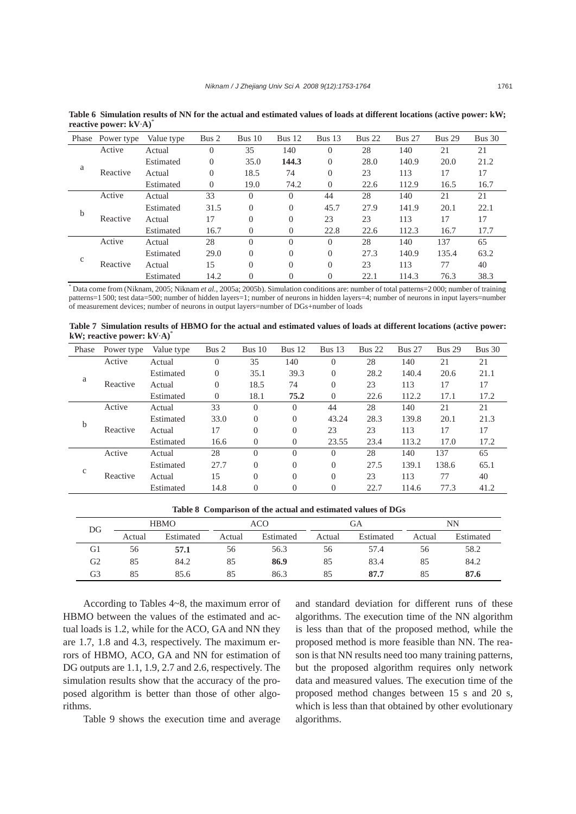|              | Phase Power type | Value type | Bus 2    | Bus $10$ | Bus $12$       | Bus $13$ | Bus $22$ | <b>Bus 27</b> | <b>Bus 29</b> | Bus $30$ |
|--------------|------------------|------------|----------|----------|----------------|----------|----------|---------------|---------------|----------|
|              | Active           | Actual     | $\Omega$ | 35       | 140            | $\Omega$ | 28       | 140           | 21            | 21       |
|              |                  | Estimated  | $\Omega$ | 35.0     | 144.3          | $\Omega$ | 28.0     | 140.9         | 20.0          | 21.2     |
| a            | Reactive         | Actual     | $\theta$ | 18.5     | 74             | $\Omega$ | 23       | 113           | 17            | 17       |
|              |                  | Estimated  | $\Omega$ | 19.0     | 74.2           | $\Omega$ | 22.6     | 112.9         | 16.5          | 16.7     |
|              | Active           | Actual     | 33       | $\Omega$ | $\Omega$       | 44       | 28       | 140           | 21            | 21       |
| b            |                  | Estimated  | 31.5     | $\theta$ | $\overline{0}$ | 45.7     | 27.9     | 141.9         | 20.1          | 22.1     |
|              | Reactive         | Actual     | 17       | $\Omega$ | $\theta$       | 23       | 23       | 113           | 17            | 17       |
|              |                  | Estimated  | 16.7     | $\theta$ | $\theta$       | 22.8     | 22.6     | 112.3         | 16.7          | 17.7     |
|              | Active           | Actual     | 28       | $\Omega$ | $\theta$       | $\Omega$ | 28       | 140           | 137           | 65       |
|              |                  | Estimated  | 29.0     | $\theta$ | $\theta$       | $\Omega$ | 27.3     | 140.9         | 135.4         | 63.2     |
| $\mathbf{C}$ | Reactive         | Actual     | 15       | $\theta$ | $\overline{0}$ | $\Omega$ | 23       | 113           | 77            | 40       |
|              |                  | Estimated  | 14.2     | $\theta$ | $\overline{0}$ | $\theta$ | 22.1     | 114.3         | 76.3          | 38.3     |

**Table 6 Simulation results of NN for the actual and estimated values of loads at different locations (active power: kW; reactive power: kV**·**A)**\*

\* Data come from (Niknam, 2005; Niknam *et al.*, 2005a; 2005b). Simulation conditions are: number of total patterns=2 000; number of training patterns=1 500; test data=500; number of hidden layers=1; number of neurons in hidden layers=4; number of neurons in input layers=number of measurement devices; number of neurons in output layers=number of DGs+number of loads

**Table 7 Simulation results of HBMO for the actual and estimated values of loads at different locations (active power: kW; reactive power: kV**·**A)**\*

| Phase       | Power type | Value type | Bus 2    | Bus <sub>10</sub> | Bus 12   | Bus $13$       | Bus 22 | <b>Bus 27</b> | Bus 29 | <b>Bus 30</b> |
|-------------|------------|------------|----------|-------------------|----------|----------------|--------|---------------|--------|---------------|
|             | Active     | Actual     | $\theta$ | 35                | 140      | 0              | 28     | 140           | 21     | 21            |
|             |            | Estimated  | $\Omega$ | 35.1              | 39.3     | $\overline{0}$ | 28.2   | 140.4         | 20.6   | 21.1          |
| a           | Reactive   | Actual     | $\Omega$ | 18.5              | 74       | $\theta$       | 23     | 113           | 17     | 17            |
|             |            | Estimated  | $\Omega$ | 18.1              | 75.2     | $\Omega$       | 22.6   | 112.2         | 17.1   | 17.2          |
|             | Active     | Actual     | 33       | $\Omega$          | $\Omega$ | 44             | 28     | 140           | 21     | 21            |
| b           |            | Estimated  | 33.0     | $\Omega$          | $\theta$ | 43.24          | 28.3   | 139.8         | 20.1   | 21.3          |
|             | Reactive   | Actual     | 17       | $\Omega$          | $\theta$ | 23             | 23     | 113           | 17     | 17            |
|             |            | Estimated  | 16.6     | $\Omega$          | $\theta$ | 23.55          | 23.4   | 113.2         | 17.0   | 17.2          |
|             | Active     | Actual     | 28       | $\theta$          | $\Omega$ | $\Omega$       | 28     | 140           | 137    | 65            |
|             |            | Estimated  | 27.7     | $\Omega$          | $\theta$ | $\theta$       | 27.5   | 139.1         | 138.6  | 65.1          |
| $\mathbf c$ | Reactive   | Actual     | 15       | $\Omega$          | $\theta$ | $\Omega$       | 23     | 113           | 77     | 40            |
|             |            | Estimated  | 14.8     | $\Omega$          | $\theta$ | $\theta$       | 22.7   | 114.6         | 77.3   | 41.2          |

**Table 8 Comparison of the actual and estimated values of DGs** 

| DG |        | <b>HBMO</b> | ACO    |           |        | GА        | NΝ     |           |
|----|--------|-------------|--------|-----------|--------|-----------|--------|-----------|
|    | Actual | Estimated   | Actual | Estimated | Actual | Estimated | Actual | Estimated |
| G1 | 56     | 57.1        | 56     | 56.3      | 56     | 57.4      | 56     | 58.2      |
| G2 | 85     | 84.2        | 85     | 86.9      | 85     | 83.4      | 85     | 84.2      |
| G3 | 85     | 85.6        | 85     | 86.3      | 85     | 87.7      | 85     | 87.6      |

According to Tables 4~8, the maximum error of HBMO between the values of the estimated and actual loads is 1.2, while for the ACO, GA and NN they are 1.7, 1.8 and 4.3, respectively. The maximum errors of HBMO, ACO, GA and NN for estimation of DG outputs are 1.1, 1.9, 2.7 and 2.6, respectively. The simulation results show that the accuracy of the proposed algorithm is better than those of other algorithms.

Table 9 shows the execution time and average

and standard deviation for different runs of these algorithms. The execution time of the NN algorithm is less than that of the proposed method, while the proposed method is more feasible than NN. The reason is that NN results need too many training patterns, but the proposed algorithm requires only network data and measured values. The execution time of the proposed method changes between 15 s and 20 s, which is less than that obtained by other evolutionary algorithms.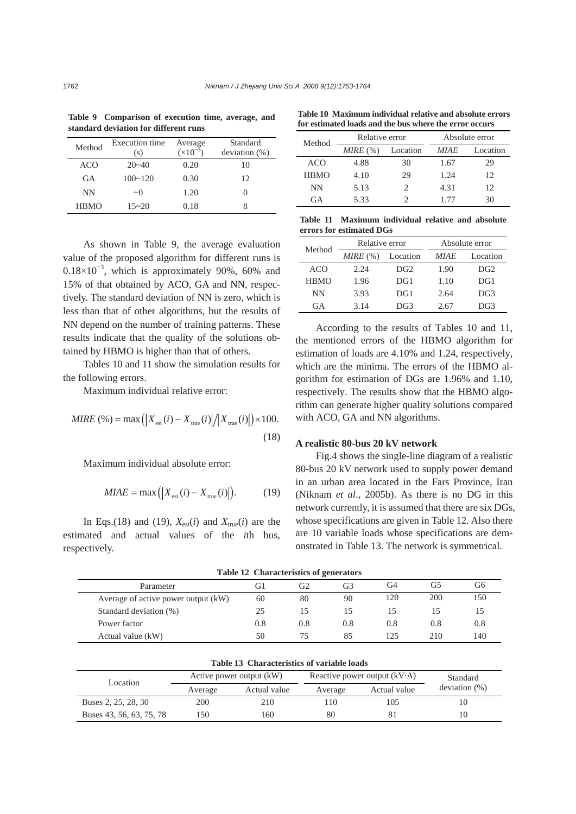| Method      | <b>Execution</b> time<br>(s) | Average<br>$(x10^{-3})$ | Standard<br>deviation $(\%)$ |
|-------------|------------------------------|-------------------------|------------------------------|
| <b>ACO</b>  | $20 - 40$                    | 0.20                    | 10                           |
| <b>GA</b>   | $100 - 120$                  | 0.30                    | 12                           |
| <b>NN</b>   | $\sim$ 0                     | 1.20                    |                              |
| <b>HBMO</b> | $15 - 20$                    | 0.18                    |                              |

**Table 9 Comparison of execution time, average, and standard deviation for different runs** 

As shown in Table 9, the average evaluation value of the proposed algorithm for different runs is  $0.18\times10^{-3}$ , which is approximately 90%, 60% and 15% of that obtained by ACO, GA and NN, respectively. The standard deviation of NN is zero, which is less than that of other algorithms, but the results of NN depend on the number of training patterns. These results indicate that the quality of the solutions obtained by HBMO is higher than that of others.

Tables 10 and 11 show the simulation results for the following errors.

Maximum individual relative error:

*MIRE* (%) = max 
$$
(|X_{est}(i) - X_{true}(i)| / |X_{true}(i)|) \times 100.
$$
 (18)

Maximum individual absolute error:

$$
MIAE = \max\left( \left| X_{\text{est}}(i) - X_{\text{true}}(i) \right| \right). \tag{19}
$$

In Eqs.(18) and (19),  $X_{est}(i)$  and  $X_{true}(i)$  are the estimated and actual values of the *i*th bus, respectively.

**Table 10 Maximum individual relative and absolute errors for estimated loads and the bus where the error occurs** 

| Method      | Relative error      |    | Absolute error |          |  |  |
|-------------|---------------------|----|----------------|----------|--|--|
|             | Location<br>MIRE(%) |    | <i>MIAE</i>    | Location |  |  |
| ACO         | 4.88                | 30 | 1.67           | 29       |  |  |
| <b>HBMO</b> | 4.10                | 29 | 1.24           | 12       |  |  |
| <b>NN</b>   | 5.13                | 2  | 4.31           | 12       |  |  |
| GA          | 5.33                |    | 1.77           | 30       |  |  |

**Table 11 Maximum individual relative and absolute errors for estimated DGs** 

| Method      | Relative error |                 | Absolute error |                 |  |  |
|-------------|----------------|-----------------|----------------|-----------------|--|--|
|             | MIRE(%)        | Location        | <i>MIAE</i>    | Location        |  |  |
| ACO         | 2.24           | DG <sub>2</sub> | 1.90           | DG2             |  |  |
| <b>HBMO</b> | 1.96           | DG1             | 1.10           | DG1             |  |  |
| NΝ          | 3.93           | DG1             | 2.64           | DG <sub>3</sub> |  |  |
| GA          | 3.14           | DG3             | 2.67           | DG3             |  |  |

According to the results of Tables 10 and 11, the mentioned errors of the HBMO algorithm for estimation of loads are 4.10% and 1.24, respectively, which are the minima. The errors of the HBMO algorithm for estimation of DGs are 1.96% and 1.10, respectively. The results show that the HBMO algorithm can generate higher quality solutions compared with ACO, GA and NN algorithms.

## **A realistic 80-bus 20 kV network**

Fig.4 shows the single-line diagram of a realistic 80-bus 20 kV network used to supply power demand in an urban area located in the Fars Province, Iran (Niknam *et al*., 2005b). As there is no DG in this network currently, it is assumed that there are six DGs, whose specifications are given in Table 12. Also there are 10 variable loads whose specifications are demonstrated in Table 13. The network is symmetrical.

|  | Table 12 Characteristics of generators |  |  |
|--|----------------------------------------|--|--|
|--|----------------------------------------|--|--|

|                                     |         | $\overline{\phantom{a}}$ |     |     |          |     |
|-------------------------------------|---------|--------------------------|-----|-----|----------|-----|
| Parameter                           | G1      | G2                       | G3  | G4  | Gi5      | G6  |
| Average of active power output (kW) | 60      | 80                       | 90  | 120 | 200      | 150 |
| Standard deviation (%)              | 25      | 15                       |     |     |          |     |
| Power factor                        | $0.8\,$ | 0.8                      | 0.8 | 0.8 | $_{0.8}$ | 0.8 |
| Actual value (kW)                   | 50      | 75                       | 85  | 125 | 210      | 140 |

| Table 13 Characteristics of variable loads |
|--------------------------------------------|
|--------------------------------------------|

| Location                 |         | Active power output (kW) |         | Reactive power output $(kV·A)$ |                  |  |
|--------------------------|---------|--------------------------|---------|--------------------------------|------------------|--|
|                          | Average | Actual value             | Average | Actual value                   | deviation $(\%)$ |  |
| Buses 2, 25, 28, 30      | 200     | 210                      | 110     | 105                            | 10               |  |
| Buses 43, 56, 63, 75, 78 | l 50    | 160                      | 80      |                                | 10               |  |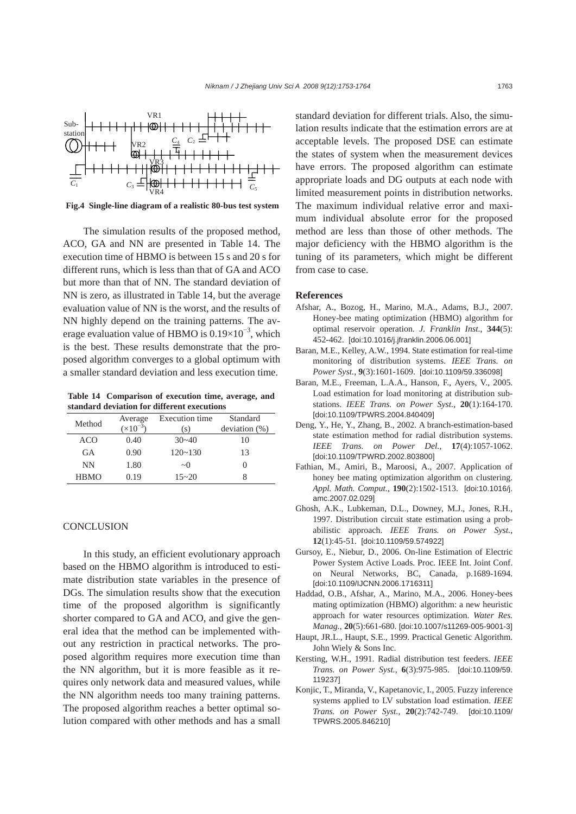

**Fig.4 Single-line diagram of a realistic 80-bus test system**

The simulation results of the proposed method, ACO, GA and NN are presented in Table 14. The execution time of HBMO is between 15 s and 20 s for different runs, which is less than that of GA and ACO but more than that of NN. The standard deviation of NN is zero, as illustrated in Table 14, but the average evaluation value of NN is the worst, and the results of NN highly depend on the training patterns. The average evaluation value of HBMO is  $0.19 \times 10^{-3}$ , which is the best. These results demonstrate that the proposed algorithm converges to a global optimum with a smaller standard deviation and less execution time.

**Table 14 Comparison of execution time, average, and standard deviation for different executions** 

| Method      | Average      | <b>Execution</b> time | Standard         |  |  |
|-------------|--------------|-----------------------|------------------|--|--|
|             | $(x10^{-3})$ | (S)                   | deviation $(\%)$ |  |  |
| ACO         | 0.40         | $30 - 40$             | 10               |  |  |
| GA          | 0.90         | $120 - 130$           | 13               |  |  |
| NN          | 1.80         | $\sim$ ()             |                  |  |  |
| <b>HBMO</b> | 0.19         | $15 - 20$             |                  |  |  |

### **CONCLUSION**

In this study, an efficient evolutionary approach based on the HBMO algorithm is introduced to estimate distribution state variables in the presence of DGs. The simulation results show that the execution time of the proposed algorithm is significantly shorter compared to GA and ACO, and give the general idea that the method can be implemented without any restriction in practical networks. The proposed algorithm requires more execution time than the NN algorithm, but it is more feasible as it requires only network data and measured values, while the NN algorithm needs too many training patterns. The proposed algorithm reaches a better optimal solution compared with other methods and has a small

standard deviation for different trials. Also, the simulation results indicate that the estimation errors are at acceptable levels. The proposed DSE can estimate the states of system when the measurement devices have errors. The proposed algorithm can estimate appropriate loads and DG outputs at each node with limited measurement points in distribution networks. The maximum individual relative error and maximum individual absolute error for the proposed method are less than those of other methods. The major deficiency with the HBMO algorithm is the tuning of its parameters, which might be different from case to case.

#### **References**

- Afshar, A., Bozog, H., Marino, M.A., Adams, B.J., 2007. Honey-bee mating optimization (HBMO) algorithm for optimal reservoir operation. *J. Franklin Inst.*, **344**(5): 452-462. [doi:10.1016/j.jfranklin.2006.06.001]
- Baran, M.E., Kelley, A.W., 1994. State estimation for real-time monitoring of distribution systems. *IEEE Trans. on Power Syst.*, **9**(3):1601-1609. [doi:10.1109/59.336098]
- Baran, M.E., Freeman, L.A.A., Hanson, F., Ayers, V., 2005. Load estimation for load monitoring at distribution substations. *IEEE Trans. on Power Syst.*, **20**(1):164-170. [doi:10.1109/TPWRS.2004.840409]
- Deng, Y., He, Y., Zhang, B., 2002. A branch-estimation-based state estimation method for radial distribution systems. *IEEE Trans. on Power Del.*, **17**(4):1057-1062. [doi:10.1109/TPWRD.2002.803800]
- Fathian, M., Amiri, B., Maroosi, A., 2007. Application of honey bee mating optimization algorithm on clustering. *Appl. Math. Comput.*, **190**(2):1502-1513. [doi:10.1016/j. amc.2007.02.029]
- Ghosh, A.K., Lubkeman, D.L., Downey, M.J., Jones, R.H., 1997. Distribution circuit state estimation using a probabilistic approach. *IEEE Trans. on Power Syst.*, **12**(1):45-51. [doi:10.1109/59.574922]
- Gursoy, E., Niebur, D., 2006. On-line Estimation of Electric Power System Active Loads. Proc. IEEE Int. Joint Conf. on Neural Networks, BC, Canada, p.1689-1694. [doi:10.1109/IJCNN.2006.1716311]
- Haddad, O.B., Afshar, A., Marino, M.A., 2006. Honey-bees mating optimization (HBMO) algorithm: a new heuristic approach for water resources optimization. *Water Res. Manag.*, **20**(5):661-680. [doi:10.1007/s11269-005-9001-3]
- Haupt, JR.L., Haupt, S.E., 1999. Practical Genetic Algorithm. John Wiely & Sons Inc.
- Kersting, W.H., 1991. Radial distribution test feeders. *IEEE Trans. on Power Syst.*, **6**(3):975-985. [doi:10.1109/59. 119237]
- Konjic, T., Miranda, V., Kapetanovic, I., 2005. Fuzzy inference systems applied to LV substation load estimation. *IEEE Trans. on Power Syst.*, **20**(2):742-749. [doi:10.1109/ TPWRS.2005.846210]